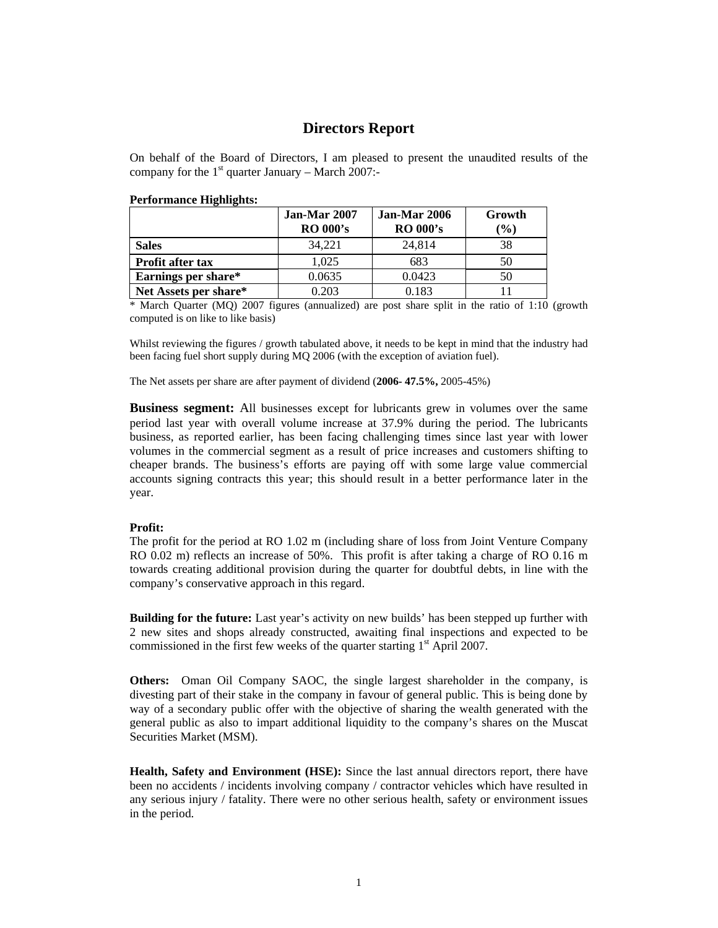## **Directors Report**

On behalf of the Board of Directors, I am pleased to present the unaudited results of the company for the  $1<sup>st</sup>$  quarter January – March 2007:-

| r error mance Thgunghis. |                                 |                                 |                  |
|--------------------------|---------------------------------|---------------------------------|------------------|
|                          | Jan-Mar 2007<br><b>RO 000's</b> | Jan-Mar 2006<br><b>RO 000's</b> | Growth<br>$(\%)$ |
| <b>Sales</b>             | 34.221                          | 24.814                          | 38               |
| Profit after tax         | 1.025                           | 683                             | 50               |
| Earnings per share*      | 0.0635                          | 0.0423                          | 50               |
| Net Assets per share*    | 0.203                           | 0.183                           |                  |

## **Performance Highlights:**

\* March Quarter (MQ) 2007 figures (annualized) are post share split in the ratio of 1:10 (growth computed is on like to like basis)

Whilst reviewing the figures / growth tabulated above, it needs to be kept in mind that the industry had been facing fuel short supply during MQ 2006 (with the exception of aviation fuel).

The Net assets per share are after payment of dividend (**2006- 47.5%,** 2005-45%)

**Business segment:** All businesses except for lubricants grew in volumes over the same period last year with overall volume increase at 37.9% during the period. The lubricants business, as reported earlier, has been facing challenging times since last year with lower volumes in the commercial segment as a result of price increases and customers shifting to cheaper brands. The business's efforts are paying off with some large value commercial accounts signing contracts this year; this should result in a better performance later in the year.

## **Profit:**

The profit for the period at RO 1.02 m (including share of loss from Joint Venture Company RO 0.02 m) reflects an increase of 50%. This profit is after taking a charge of RO 0.16 m towards creating additional provision during the quarter for doubtful debts, in line with the company's conservative approach in this regard.

**Building for the future:** Last year's activity on new builds' has been stepped up further with 2 new sites and shops already constructed, awaiting final inspections and expected to be commissioned in the first few weeks of the quarter starting  $1<sup>st</sup>$  April 2007.

**Others:** Oman Oil Company SAOC, the single largest shareholder in the company, is divesting part of their stake in the company in favour of general public. This is being done by way of a secondary public offer with the objective of sharing the wealth generated with the general public as also to impart additional liquidity to the company's shares on the Muscat Securities Market (MSM).

**Health, Safety and Environment (HSE):** Since the last annual directors report, there have been no accidents / incidents involving company / contractor vehicles which have resulted in any serious injury / fatality. There were no other serious health, safety or environment issues in the period.